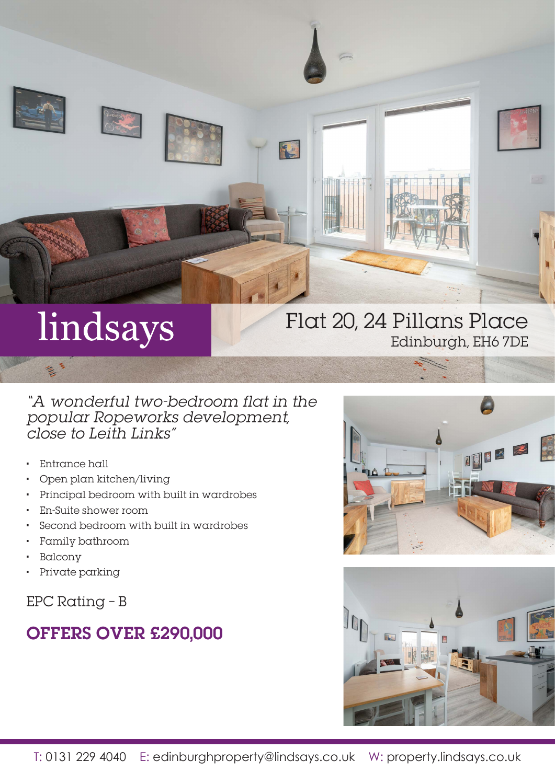

# lindsays

## Flat 20, 24 Pillans Place Edinburgh, EH6 7DE

## "A wonderful two-bedroom flat in the popular Ropeworks development, close to Leith Links"

- Entrance hall
- Open plan kitchen/living
- Principal bedroom with built in wardrobes
- En-Suite shower room
- Second bedroom with built in wardrobes
- Family bathroom
- **Balcony**
- Private parking

EPC Rating – B

# OFFERS OVER £290,000